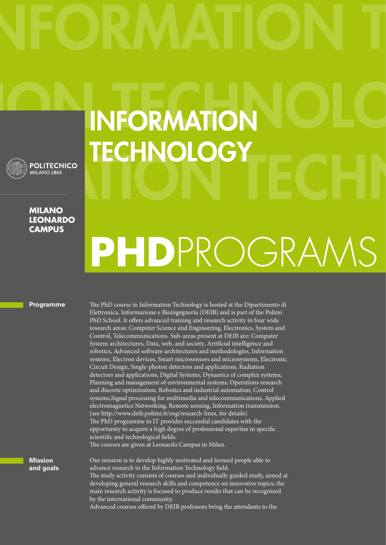## **INFORMATION TECHNOLOGY**

**MILANO LEONARDO CAMPUS**

**POLITECNICO** MILANO<sub>1863</sub>

## **PHD**PROGRAMS

## **Programme**

The PhD course in Information Technology is hosted at the Dipartimento di Elettronica, Informazione e Bioingegneria (DEIB) and is part of the Polimi PhD School. It offers advanced training and research activity in four wide research areas: Computer Science and Engineering, Electronics, System and Control, Telecommunications. Sub-areas present at DEIB are: Computer System architectures, Data, web, and society Artificial intelligence and robotics, Advanced sofware architectures and methodologies, Information systems, Electron devices, Smart microsensors and microsystems, Electronic Circuit Design, Single-photon detectors and applications, Radiation detectors and applications, Digital Systems, Dynamics of complex systems, Planning and management of environmental systems, Operations research and discrete optimization, Robotics and industrial automation, Control systems,Signal processing for multimedia and telecommunications, Applied electromagnetics Networking, Remote sensing, Information transmission. (see http://www.deib.polimi.it/eng/research-lines, for details) The PhD programme in IT provides successful candidates with the opportunity to acquire a high degree of professional expertise in specifc scientific and technological fields.

The courses are given at Leonardo Campus in Milan.

Our mission is to develop highly motivated and formed people able to advance research in the Information Technology feld. The study activity consists of courses and individually guided study, aimed at developing general research skills and competence on innovative topics; the main research activity is focused to produce results that can be recognized by the international community. Advanced courses offered by DEIB professors bring the attendants to the

**Mission and goals**